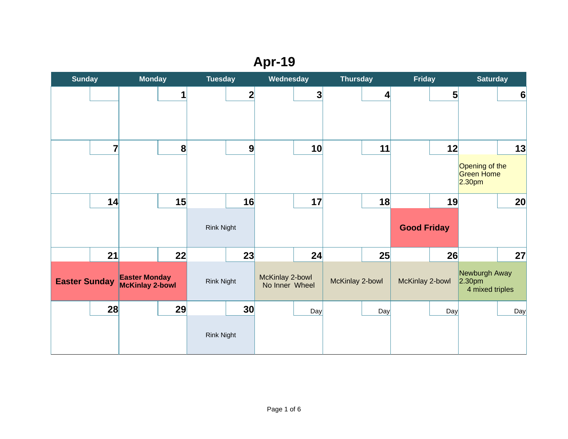# **Apr-19**

|                      | <b>Sunday</b>           |                                                      | <b>Monday</b><br><b>Tuesday</b> |                         | Wednesday |                                         |              | <b>Thursday</b> |                          | <b>Friday</b>         |     | <b>Saturday</b>                                           |     |
|----------------------|-------------------------|------------------------------------------------------|---------------------------------|-------------------------|-----------|-----------------------------------------|--------------|-----------------|--------------------------|-----------------------|-----|-----------------------------------------------------------|-----|
|                      |                         |                                                      | $\mathbf{1}$                    |                         | 2         |                                         | $\mathbf{3}$ |                 | $\vert \mathbf{A} \vert$ |                       | 5   |                                                           | 6   |
|                      | $\overline{\mathbf{z}}$ |                                                      | 8                               |                         | 9         |                                         | 10           |                 | 11                       |                       | 12  | Opening of the<br><b>Green Home</b><br>2.30 <sub>pm</sub> | 13  |
|                      | 14                      |                                                      | 15                              | Rink Night              | 16        |                                         | 17           |                 | 18                       | <b>Good Friday</b>    | 19  |                                                           | 20  |
| <b>Easter Sunday</b> | 21                      | 22<br><b>Easter Monday</b><br><b>McKinlay 2-bowl</b> |                                 | 23<br><b>Rink Night</b> |           | 24<br>McKinlay 2-bowl<br>No Inner Wheel |              | McKinlay 2-bowl | 25                       | 26<br>McKinlay 2-bowl |     | Newburgh Away<br>2.30 <sub>pm</sub><br>4 mixed triples    | 27  |
|                      | 28                      |                                                      | 29                              | <b>Rink Night</b>       | 30        |                                         | Day          |                 | Day                      |                       | Day |                                                           | Day |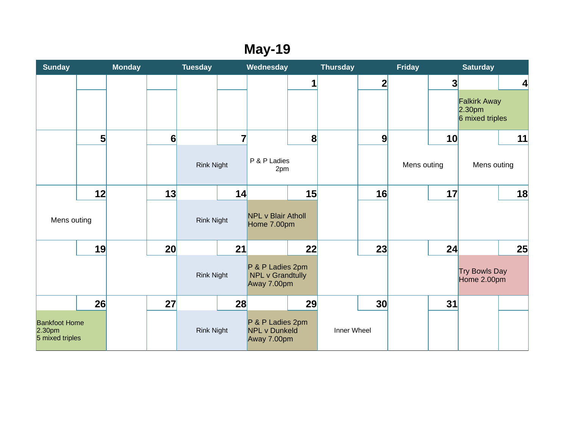### **May-19**

| <b>Sunday</b>                                                 |                | <b>Monday</b> |    | <b>Tuesday</b>    |                | Wednesday                                                  |              | <b>Thursday</b> |                | <b>Friday</b> |    | <b>Saturday</b>                                              |                          |
|---------------------------------------------------------------|----------------|---------------|----|-------------------|----------------|------------------------------------------------------------|--------------|-----------------|----------------|---------------|----|--------------------------------------------------------------|--------------------------|
|                                                               |                |               |    |                   |                |                                                            | $\mathbf{1}$ |                 | $\overline{2}$ |               | 3  |                                                              | $\vert \mathbf{A} \vert$ |
|                                                               |                |               |    |                   |                |                                                            |              |                 |                |               |    | <b>Falkirk Away</b><br>2.30 <sub>pm</sub><br>6 mixed triples |                          |
|                                                               | 5 <sup>1</sup> |               | 6  |                   | $\overline{7}$ |                                                            | $\bf{8}$     |                 | 9              |               | 10 |                                                              | 11                       |
|                                                               |                |               |    | <b>Rink Night</b> |                | P & P Ladies<br>2pm                                        |              |                 |                | Mens outing   |    | Mens outing                                                  |                          |
|                                                               | 12             |               | 13 |                   | 14             |                                                            | 15           |                 | 16             |               | 17 |                                                              | 18                       |
| Mens outing                                                   |                |               |    | <b>Rink Night</b> |                | <b>NPL v Blair Atholl</b><br>Home 7.00pm                   |              |                 |                |               |    |                                                              |                          |
|                                                               | 19             |               | 20 |                   | 21             |                                                            | 22           |                 | 23             |               | 24 |                                                              | 25                       |
|                                                               |                |               |    | <b>Rink Night</b> |                | P & P Ladies 2pm<br><b>NPL v Grandtully</b><br>Away 7.00pm |              |                 |                |               |    | Try Bowls Day<br>Home 2.00pm                                 |                          |
|                                                               | 26             |               | 27 |                   | 28             |                                                            | 29           |                 | 30             |               | 31 |                                                              |                          |
| <b>Bankfoot Home</b><br>2.30 <sub>pm</sub><br>5 mixed triples |                |               |    | <b>Rink Night</b> |                | P & P Ladies 2pm<br><b>NPL v Dunkeld</b><br>Away 7.00pm    |              | Inner Wheel     |                |               |    |                                                              |                          |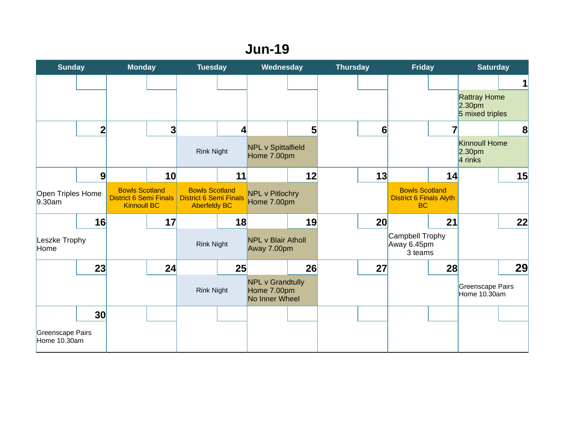#### **Jun-19**

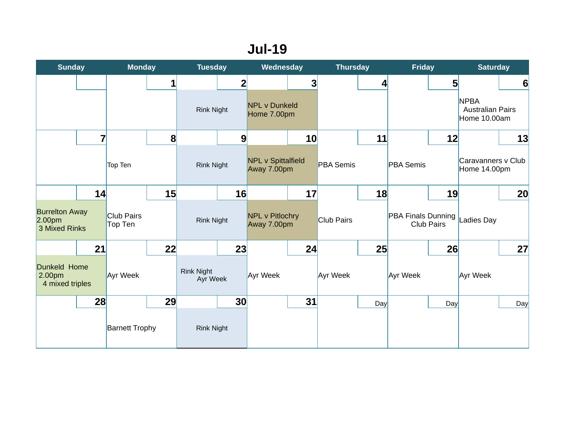### **Jul-19**

| <b>Sunday</b>                                                |    | <b>Monday</b>         |    | <b>Tuesday</b>                |                | Wednesday                                |                         | <b>Thursday</b>   |     | <b>Friday</b>                           |     | <b>Saturday</b>                                        |                 |
|--------------------------------------------------------------|----|-----------------------|----|-------------------------------|----------------|------------------------------------------|-------------------------|-------------------|-----|-----------------------------------------|-----|--------------------------------------------------------|-----------------|
|                                                              |    |                       | 1  |                               | $\overline{2}$ |                                          | $\overline{\mathbf{3}}$ |                   | 4   |                                         | 5   |                                                        | $6\phantom{1}6$ |
|                                                              |    |                       |    | <b>Rink Night</b>             |                | <b>NPL v Dunkeld</b><br>Home 7.00pm      |                         |                   |     |                                         |     | <b>NPBA</b><br><b>Australian Pairs</b><br>Home 10.00am |                 |
|                                                              | 7  |                       | 8  |                               | 9              |                                          | 10                      |                   | 11  |                                         | 12  |                                                        | 13              |
|                                                              |    | Top Ten               |    | <b>Rink Night</b>             |                | <b>NPL v Spittalfield</b><br>Away 7.00pm |                         | <b>PBA Semis</b>  |     | <b>PBA Semis</b>                        |     | Caravanners v Club<br>Home 14.00pm                     |                 |
|                                                              | 14 |                       | 15 |                               | 16             |                                          | 17                      |                   | 18  |                                         | 19  |                                                        | 20              |
| <b>Burrelton Away</b><br>2.00 <sub>pm</sub><br>3 Mixed Rinks |    | Club Pairs<br>Top Ten |    | <b>Rink Night</b>             |                | <b>NPL v Pitlochry</b><br>Away 7.00pm    |                         | <b>Club Pairs</b> |     | PBA Finals Dunning<br><b>Club Pairs</b> |     | <b>Ladies Day</b>                                      |                 |
|                                                              | 21 |                       | 22 |                               | 23             |                                          | 24                      |                   | 25  |                                         | 26  |                                                        | 27              |
| Dunkeld Home<br>2.00pm<br>4 mixed triples                    |    | Ayr Week              |    | <b>Rink Night</b><br>Ayr Week |                | Ayr Week                                 |                         | Ayr Week          |     | Ayr Week                                |     | Ayr Week                                               |                 |
|                                                              | 28 |                       | 29 |                               | 30             |                                          | 31                      |                   | Day |                                         | Day |                                                        | Day             |
|                                                              |    | <b>Barnett Trophy</b> |    | <b>Rink Night</b>             |                |                                          |                         |                   |     |                                         |     |                                                        |                 |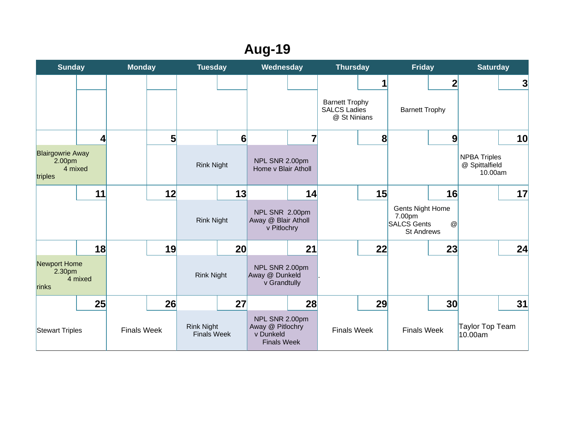## **Aug-19**

| <b>Sunday</b>                                           |                  |                    | <b>Monday</b> |                                         | <b>Tuesday</b>  |                                                                       | Wednesday      |                                                              | <b>Thursday</b> |                                                                              | <b>Friday</b>    |                                                  | <b>Saturday</b> |  |
|---------------------------------------------------------|------------------|--------------------|---------------|-----------------------------------------|-----------------|-----------------------------------------------------------------------|----------------|--------------------------------------------------------------|-----------------|------------------------------------------------------------------------------|------------------|--------------------------------------------------|-----------------|--|
|                                                         |                  |                    |               |                                         |                 |                                                                       |                |                                                              | $\mathbf{1}$    |                                                                              | $\overline{2}$   |                                                  | 3               |  |
|                                                         |                  |                    |               |                                         |                 |                                                                       |                | <b>Barnett Trophy</b><br><b>SALCS Ladies</b><br>@ St Ninians |                 | <b>Barnett Trophy</b>                                                        |                  |                                                  |                 |  |
|                                                         | $\boldsymbol{A}$ |                    | 5             |                                         | 6               |                                                                       | $\overline{7}$ |                                                              | 8               |                                                                              | $\boldsymbol{9}$ |                                                  | 10              |  |
| <b>Blairgowrie Away</b><br>2.00pm<br>4 mixed<br>triples |                  |                    |               | <b>Rink Night</b>                       |                 | NPL SNR 2.00pm<br>Home v Blair Atholl                                 |                |                                                              |                 |                                                                              |                  | <b>NPBA Triples</b><br>@ Spittalfield<br>10.00am |                 |  |
|                                                         | 11               |                    | 12            |                                         | 13              |                                                                       | 14             |                                                              | 15              |                                                                              | 16               |                                                  | 17              |  |
|                                                         |                  |                    |               | <b>Rink Night</b>                       |                 | NPL SNR 2.00pm<br>Away @ Blair Atholl<br>v Pitlochry                  |                |                                                              |                 | <b>Gents Night Home</b><br>7.00pm<br><b>SALCS Gents</b><br><b>St Andrews</b> | $\circledcirc$   |                                                  |                 |  |
|                                                         | 18               |                    | 19            |                                         | 20 <sub>l</sub> |                                                                       | 21             |                                                              | 22              |                                                                              | 23               |                                                  | 24              |  |
| Newport Home<br>2.30 <sub>pm</sub><br>4 mixed<br>rinks  |                  |                    |               | <b>Rink Night</b>                       |                 | NPL SNR 2.00pm<br>Away @ Dunkeld<br>v Grandtully                      |                |                                                              |                 |                                                                              |                  |                                                  |                 |  |
|                                                         | 25               |                    | 26            |                                         | 27              |                                                                       | 28             |                                                              | 29              |                                                                              | 30               |                                                  | 31              |  |
| Stewart Triples                                         |                  | <b>Finals Week</b> |               | <b>Rink Night</b><br><b>Finals Week</b> |                 | NPL SNR 2.00pm<br>Away @ Pitlochry<br>v Dunkeld<br><b>Finals Week</b> |                | <b>Finals Week</b>                                           |                 | <b>Finals Week</b>                                                           |                  | Taylor Top Team<br>10.00am                       |                 |  |